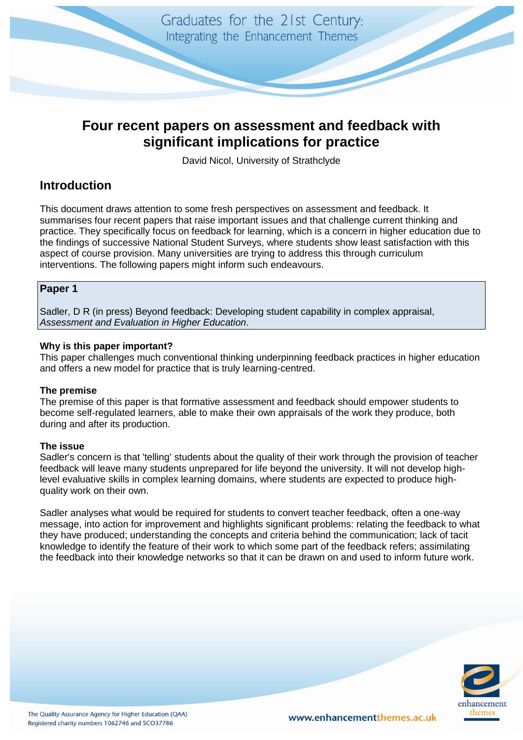

# **Four recent papers on assessment and feedback with significant implications for practice**

David Nicol, University of Strathclyde

# **Introduction**

This document draws attention to some fresh perspectives on assessment and feedback. It summarises four recent papers that raise important issues and that challenge current thinking and practice. They specifically focus on feedback for learning, which is a concern in higher education due to the findings of successive National Student Surveys, where students show least satisfaction with this aspect of course provision. Many universities are trying to address this through curriculum interventions. The following papers might inform such endeavours.

# **Paper 1**

Sadler, D R (in press) Beyond feedback: Developing student capability in complex appraisal, *Assessment and Evaluation in Higher Education*.

# **Why is this paper important?**

This paper challenges much conventional thinking underpinning feedback practices in higher education and offers a new model for practice that is truly learning-centred.

# **The premise**

The premise of this paper is that formative assessment and feedback should empower students to become self-regulated learners, able to make their own appraisals of the work they produce, both during and after its production.

# **The issue**

Sadler's concern is that 'telling' students about the quality of their work through the provision of teacher feedback will leave many students unprepared for life beyond the university. It will not develop highlevel evaluative skills in complex learning domains, where students are expected to produce highquality work on their own.

Sadler analyses what would be required for students to convert teacher feedback, often a one-way message, into action for improvement and highlights significant problems: relating the feedback to what they have produced; understanding the concepts and criteria behind the communication; lack of tacit knowledge to identify the feature of their work to which some part of the feedback refers; assimilating the feedback into their knowledge networks so that it can be drawn on and used to inform future work.

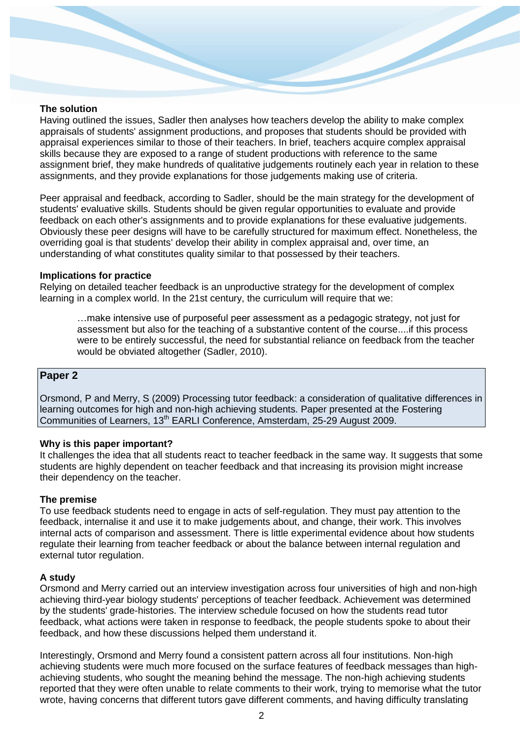#### **The solution**

Having outlined the issues, Sadler then analyses how teachers develop the ability to make complex appraisals of students' assignment productions, and proposes that students should be provided with appraisal experiences similar to those of their teachers. In brief, teachers acquire complex appraisal skills because they are exposed to a range of student productions with reference to the same assignment brief, they make hundreds of qualitative judgements routinely each year in relation to these assignments, and they provide explanations for those judgements making use of criteria.

Peer appraisal and feedback, according to Sadler, should be the main strategy for the development of students' evaluative skills. Students should be given regular opportunities to evaluate and provide feedback on each other's assignments and to provide explanations for these evaluative judgements. Obviously these peer designs will have to be carefully structured for maximum effect. Nonetheless, the overriding goal is that students' develop their ability in complex appraisal and, over time, an understanding of what constitutes quality similar to that possessed by their teachers.

## **Implications for practice**

Relying on detailed teacher feedback is an unproductive strategy for the development of complex learning in a complex world. In the 21st century, the curriculum will require that we:

…make intensive use of purposeful peer assessment as a pedagogic strategy, not just for assessment but also for the teaching of a substantive content of the course....if this process were to be entirely successful, the need for substantial reliance on feedback from the teacher would be obviated altogether (Sadler, 2010).

## **Paper 2**

Orsmond, P and Merry, S (2009) Processing tutor feedback: a consideration of qualitative differences in learning outcomes for high and non-high achieving students. Paper presented at the Fostering Communities of Learners, 13<sup>th</sup> EARLI Conference, Amsterdam, 25-29 August 2009.

#### **Why is this paper important?**

It challenges the idea that all students react to teacher feedback in the same way. It suggests that some students are highly dependent on teacher feedback and that increasing its provision might increase their dependency on the teacher.

#### **The premise**

To use feedback students need to engage in acts of self-regulation. They must pay attention to the feedback, internalise it and use it to make judgements about, and change, their work. This involves internal acts of comparison and assessment. There is little experimental evidence about how students regulate their learning from teacher feedback or about the balance between internal regulation and external tutor regulation.

#### **A study**

Orsmond and Merry carried out an interview investigation across four universities of high and non-high achieving third-year biology students' perceptions of teacher feedback. Achievement was determined by the students' grade-histories. The interview schedule focused on how the students read tutor feedback, what actions were taken in response to feedback, the people students spoke to about their feedback, and how these discussions helped them understand it.

Interestingly, Orsmond and Merry found a consistent pattern across all four institutions. Non-high achieving students were much more focused on the surface features of feedback messages than highachieving students, who sought the meaning behind the message. The non-high achieving students reported that they were often unable to relate comments to their work, trying to memorise what the tutor wrote, having concerns that different tutors gave different comments, and having difficulty translating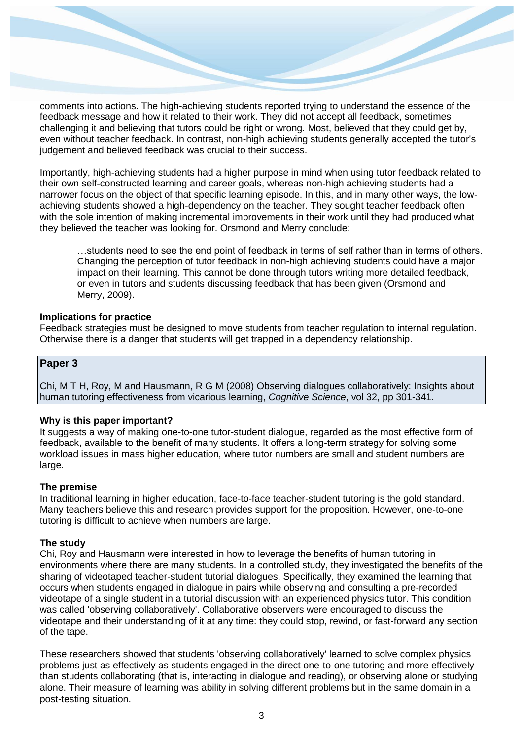comments into actions. The high-achieving students reported trying to understand the essence of the feedback message and how it related to their work. They did not accept all feedback, sometimes challenging it and believing that tutors could be right or wrong. Most, believed that they could get by, even without teacher feedback. In contrast, non-high achieving students generally accepted the tutor's judgement and believed feedback was crucial to their success.

Importantly, high-achieving students had a higher purpose in mind when using tutor feedback related to their own self-constructed learning and career goals, whereas non-high achieving students had a narrower focus on the object of that specific learning episode. In this, and in many other ways, the lowachieving students showed a high-dependency on the teacher. They sought teacher feedback often with the sole intention of making incremental improvements in their work until they had produced what they believed the teacher was looking for. Orsmond and Merry conclude:

…students need to see the end point of feedback in terms of self rather than in terms of others. Changing the perception of tutor feedback in non-high achieving students could have a major impact on their learning. This cannot be done through tutors writing more detailed feedback, or even in tutors and students discussing feedback that has been given (Orsmond and Merry, 2009).

# **Implications for practice**

Feedback strategies must be designed to move students from teacher regulation to internal regulation. Otherwise there is a danger that students will get trapped in a dependency relationship.

# **Paper 3**

Chi, M T H, Roy, M and Hausmann, R G M (2008) Observing dialogues collaboratively: Insights about human tutoring effectiveness from vicarious learning, *Cognitive Science*, vol 32, pp 301-341.

# **Why is this paper important?**

It suggests a way of making one-to-one tutor-student dialogue, regarded as the most effective form of feedback, available to the benefit of many students. It offers a long-term strategy for solving some workload issues in mass higher education, where tutor numbers are small and student numbers are large.

## **The premise**

In traditional learning in higher education, face-to-face teacher-student tutoring is the gold standard. Many teachers believe this and research provides support for the proposition. However, one-to-one tutoring is difficult to achieve when numbers are large.

## **The study**

Chi, Roy and Hausmann were interested in how to leverage the benefits of human tutoring in environments where there are many students. In a controlled study, they investigated the benefits of the sharing of videotaped teacher-student tutorial dialogues. Specifically, they examined the learning that occurs when students engaged in dialogue in pairs while observing and consulting a pre-recorded videotape of a single student in a tutorial discussion with an experienced physics tutor. This condition was called 'observing collaboratively'. Collaborative observers were encouraged to discuss the videotape and their understanding of it at any time: they could stop, rewind, or fast-forward any section of the tape.

These researchers showed that students 'observing collaboratively' learned to solve complex physics problems just as effectively as students engaged in the direct one-to-one tutoring and more effectively than students collaborating (that is, interacting in dialogue and reading), or observing alone or studying alone. Their measure of learning was ability in solving different problems but in the same domain in a post-testing situation.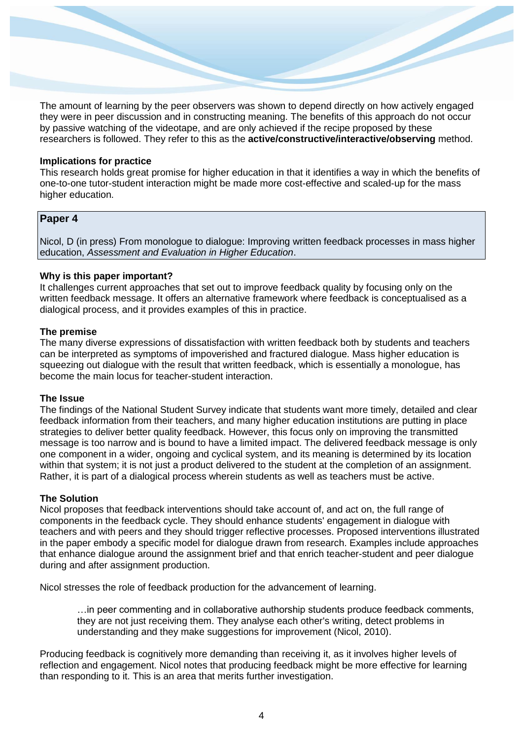The amount of learning by the peer observers was shown to depend directly on how actively engaged they were in peer discussion and in constructing meaning. The benefits of this approach do not occur by passive watching of the videotape, and are only achieved if the recipe proposed by these researchers is followed. They refer to this as the **active/constructive/interactive/observing** method.

#### **Implications for practice**

This research holds great promise for higher education in that it identifies a way in which the benefits of one-to-one tutor-student interaction might be made more cost-effective and scaled-up for the mass higher education.

# **Paper 4**

Nicol, D (in press) From monologue to dialogue: Improving written feedback processes in mass higher education, *Assessment and Evaluation in Higher Education*.

#### **Why is this paper important?**

It challenges current approaches that set out to improve feedback quality by focusing only on the written feedback message. It offers an alternative framework where feedback is conceptualised as a dialogical process, and it provides examples of this in practice.

#### **The premise**

The many diverse expressions of dissatisfaction with written feedback both by students and teachers can be interpreted as symptoms of impoverished and fractured dialogue. Mass higher education is squeezing out dialogue with the result that written feedback, which is essentially a monologue, has become the main locus for teacher-student interaction.

# **The Issue**

The findings of the National Student Survey indicate that students want more timely, detailed and clear feedback information from their teachers, and many higher education institutions are putting in place strategies to deliver better quality feedback. However, this focus only on improving the transmitted message is too narrow and is bound to have a limited impact. The delivered feedback message is only one component in a wider, ongoing and cyclical system, and its meaning is determined by its location within that system; it is not just a product delivered to the student at the completion of an assignment. Rather, it is part of a dialogical process wherein students as well as teachers must be active.

#### **The Solution**

Nicol proposes that feedback interventions should take account of, and act on, the full range of components in the feedback cycle. They should enhance students' engagement in dialogue with teachers and with peers and they should trigger reflective processes. Proposed interventions illustrated in the paper embody a specific model for dialogue drawn from research. Examples include approaches that enhance dialogue around the assignment brief and that enrich teacher-student and peer dialogue during and after assignment production.

Nicol stresses the role of feedback production for the advancement of learning.

…in peer commenting and in collaborative authorship students produce feedback comments, they are not just receiving them. They analyse each other's writing, detect problems in understanding and they make suggestions for improvement (Nicol, 2010).

Producing feedback is cognitively more demanding than receiving it, as it involves higher levels of reflection and engagement. Nicol notes that producing feedback might be more effective for learning than responding to it. This is an area that merits further investigation.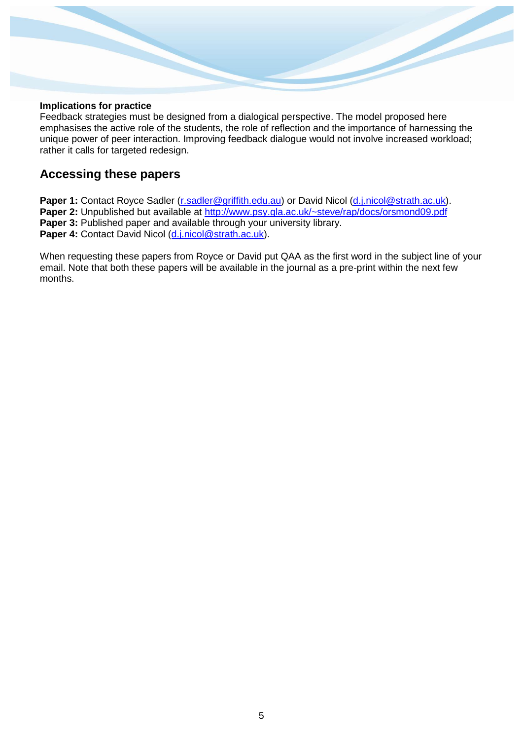# **Implications for practice**

Feedback strategies must be designed from a dialogical perspective. The model proposed here emphasises the active role of the students, the role of reflection and the importance of harnessing the unique power of peer interaction. Improving feedback dialogue would not involve increased workload; rather it calls for targeted redesign.

# **Accessing these papers**

Paper 1: Contact Royce Sadler [\(r.sadler@griffith.edu.au\)](mailto:r.sadler@griffith.edu.au) or David Nicol [\(d.j.nicol@strath.ac.uk\)](mailto:d.j.nicol@strath.ac.uk). **Paper 2:** Unpublished but available at [http://www.psy.gla.ac.uk/~steve/rap/docs/orsmond09.pdf](https://nemo.strath.ac.uk/owa/redir.aspx?C=72d287cebc3247c793d0ed253a88adaa&URL=http%3a%2f%2fwww.psy.gla.ac.uk%2f%7esteve%2frap%2fdocs%2forsmond09.pdf) **Paper 3:** Published paper and available through your university library. Paper 4: Contact David Nicol [\(d.j.nicol@strath.ac.uk\)](mailto:d.j.nicol@strath.ac.uk).

When requesting these papers from Royce or David put QAA as the first word in the subject line of your email. Note that both these papers will be available in the journal as a pre-print within the next few months.